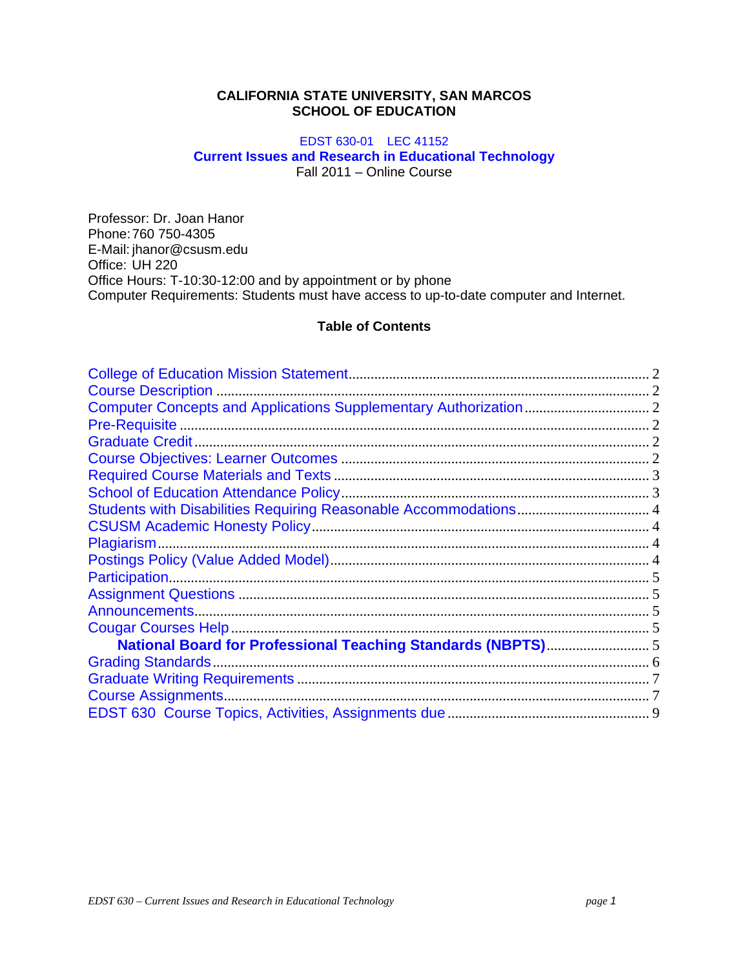# **CALIFORNIA STATE UNIVERSITY, SAN MARCOS SCHOOL OF EDUCATION**

# EDST 630-01 LEC 41152 **Current Issues and Research in Educational Technology**  Fall 2011 – Online Course

 Office: UH 220 Professor: Dr. Joan Hanor Phone: 760 750-4305 E-Mail: jhanor@csusm.edu Office Hours: T-10:30-12:00 and by appointment or by phone Computer Requirements: Students must have access to up-to-date computer and Internet.

# **Table of Contents**

| Students with Disabilities Requiring Reasonable Accommodations 4 |  |
|------------------------------------------------------------------|--|
|                                                                  |  |
|                                                                  |  |
|                                                                  |  |
|                                                                  |  |
|                                                                  |  |
|                                                                  |  |
|                                                                  |  |
| National Board for Professional Teaching Standards (NBPTS) 5     |  |
|                                                                  |  |
|                                                                  |  |
| <b>Course Assignments.</b>                                       |  |
|                                                                  |  |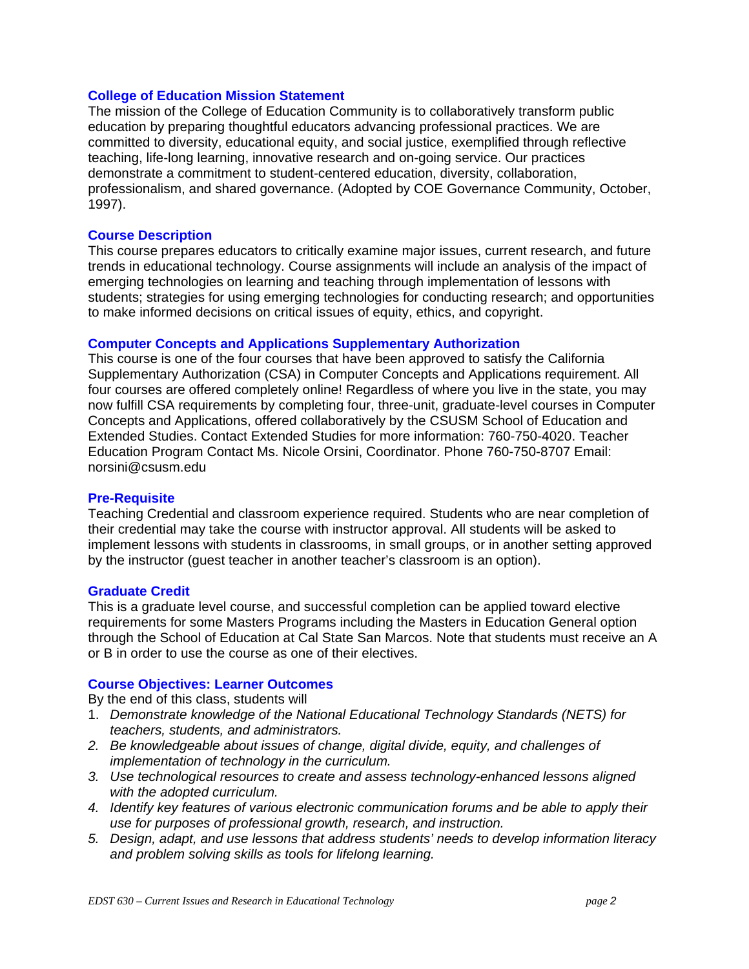# **College of Education Mission Statement**

The mission of the College of Education Community is to collaboratively transform public education by preparing thoughtful educators advancing professional practices. We are committed to diversity, educational equity, and social justice, exemplified through reflective teaching, life-long learning, innovative research and on-going service. Our practices demonstrate a commitment to student-centered education, diversity, collaboration, professionalism, and shared governance. (Adopted by COE Governance Community, October, 1997).

# **Course Description**

This course prepares educators to critically examine major issues, current research, and future trends in educational technology. Course assignments will include an analysis of the impact of emerging technologies on learning and teaching through implementation of lessons with students; strategies for using emerging technologies for conducting research; and opportunities to make informed decisions on critical issues of equity, ethics, and copyright.

# **Computer Concepts and Applications Supplementary Authorization**

This course is one of the four courses that have been approved to satisfy the California Supplementary Authorization (CSA) in Computer Concepts and Applications requirement. All four courses are offered completely online! Regardless of where you live in the state, you may now fulfill CSA requirements by completing four, three-unit, graduate-level courses in Computer Concepts and Applications, offered collaboratively by the CSUSM School of Education and Extended Studies. Contact Extended Studies for more information: 760-750-4020. Teacher Education Program Contact Ms. Nicole Orsini, Coordinator. Phone 760-750-8707 Email: norsini@csusm.edu

# **Pre-Requisite**

Teaching Credential and classroom experience required. Students who are near completion of their credential may take the course with instructor approval. All students will be asked to implement lessons with students in classrooms, in small groups, or in another setting approved by the instructor (guest teacher in another teacher's classroom is an option).

# **Graduate Credit**

This is a graduate level course, and successful completion can be applied toward elective requirements for some Masters Programs including the Masters in Education General option through the School of Education at Cal State San Marcos. Note that students must receive an A or B in order to use the course as one of their electives.

# **Course Objectives: Learner Outcomes**

By the end of this class, students will

- 1. *Demonstrate knowledge of the National Educational Technology Standards (NETS) for teachers, students, and administrators.*
- *2. Be knowledgeable about issues of change, digital divide, equity, and challenges of implementation of technology in the curriculum.*
- *3. Use technological resources to create and assess technology-enhanced lessons aligned with the adopted curriculum.*
- *4. Identify key features of various electronic communication forums and be able to apply their use for purposes of professional growth, research, and instruction.*
- *5. Design, adapt, and use lessons that address students' needs to develop information literacy and problem solving skills as tools for lifelong learning.*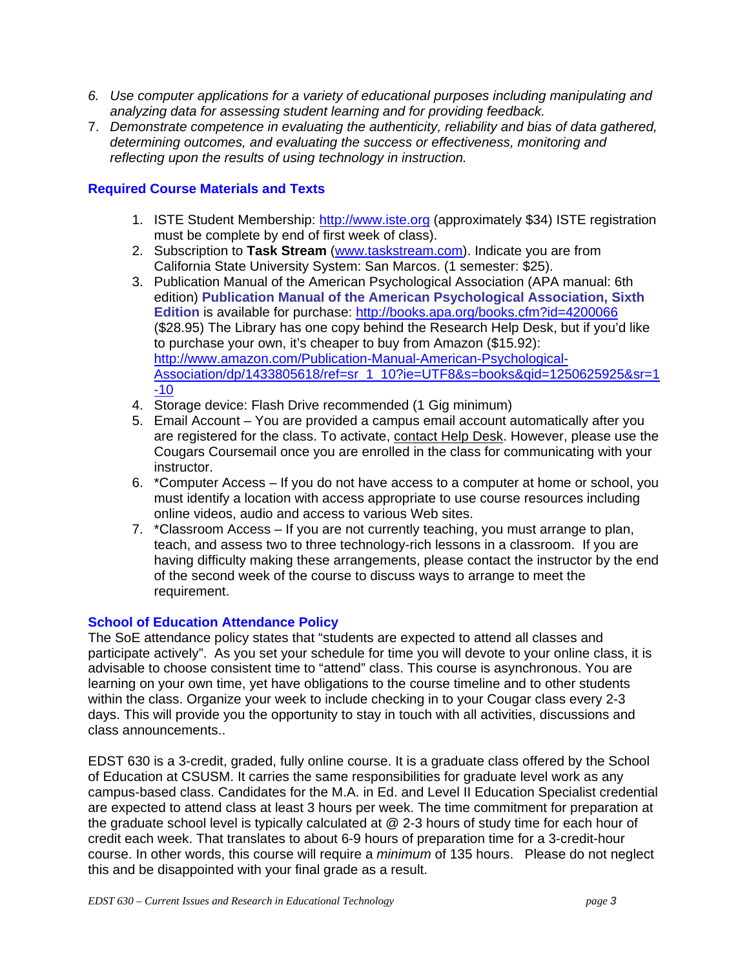- <span id="page-2-0"></span>*6. Use computer applications for a variety of educational purposes including manipulating and analyzing data for assessing student learning and for providing feedback.*
- 7. *Demonstrate competence in evaluating the authenticity, reliability and bias of data gathered, determining outcomes, and evaluating the success or effectiveness, monitoring and reflecting upon the results of using technology in instruction.*

# **Required Course Materials and Texts**

- 1. ISTE Student Membership: http://www.iste.org (approximately \$34) ISTE registration must be complete by end of first week of class).
- 2. Subscription to **Task Stream** (www.taskstream.com). Indicate you are from California State University System: San Marcos. (1 semester: \$25).
- 3. Publication Manual of the American Psychological Association (APA manual: 6th edition) **Publication Manual of the American Psychological Association, Sixth Edition** is available for purchase: http://books.apa.org/books.cfm?id=4200066 (\$28.95) The Library has one copy behind the Research Help Desk, but if you'd like to purchase your own, it's cheaper to buy from Amazon (\$15.92): http://www.amazon.com/Publication-Manual-American-Psychological-Association/dp/1433805618/ref=sr\_1\_10?ie=UTF8&s=books&qid=1250625925&sr=1 -10
- 4. Storage device: Flash Drive recommended (1 Gig minimum)
- 5. Email Account You are provided a campus email account automatically after you are registered for the class. To activate, contact Help Desk. However, please use the Cougars Coursemail once you are enrolled in the class for communicating with your instructor.
- 6. \*Computer Access If you do not have access to a computer at home or school, you must identify a location with access appropriate to use course resources including online videos, audio and access to various Web sites.
- requirement. 7. \*Classroom Access – If you are not currently teaching, you must arrange to plan, teach, and assess two to three technology-rich lessons in a classroom. If you are having difficulty making these arrangements, please contact the instructor by the end of the second week of the course to discuss ways to arrange to meet the

# **School of Education Attendance Policy**

The SoE attendance policy states that "students are expected to attend all classes and participate actively". As you set your schedule for time you will devote to your online class, it is advisable to choose consistent time to "attend" class. This course is asynchronous. You are learning on your own time, yet have obligations to the course timeline and to other students within the class. Organize your week to include checking in to your Cougar class every 2-3 days. This will provide you the opportunity to stay in touch with all activities, discussions and class announcements..

EDST 630 is a 3-credit, graded, fully online course. It is a graduate class offered by the School of Education at CSUSM. It carries the same responsibilities for graduate level work as any campus-based class. Candidates for the M.A. in Ed. and Level II Education Specialist credential are expected to attend class at least 3 hours per week. The time commitment for preparation at the graduate school level is typically calculated at @ 2-3 hours of study time for each hour of credit each week. That translates to about 6-9 hours of preparation time for a 3-credit-hour course. In other words, this course will require a *minimum* of 135 hours. Please do not neglect this and be disappointed with your final grade as a result.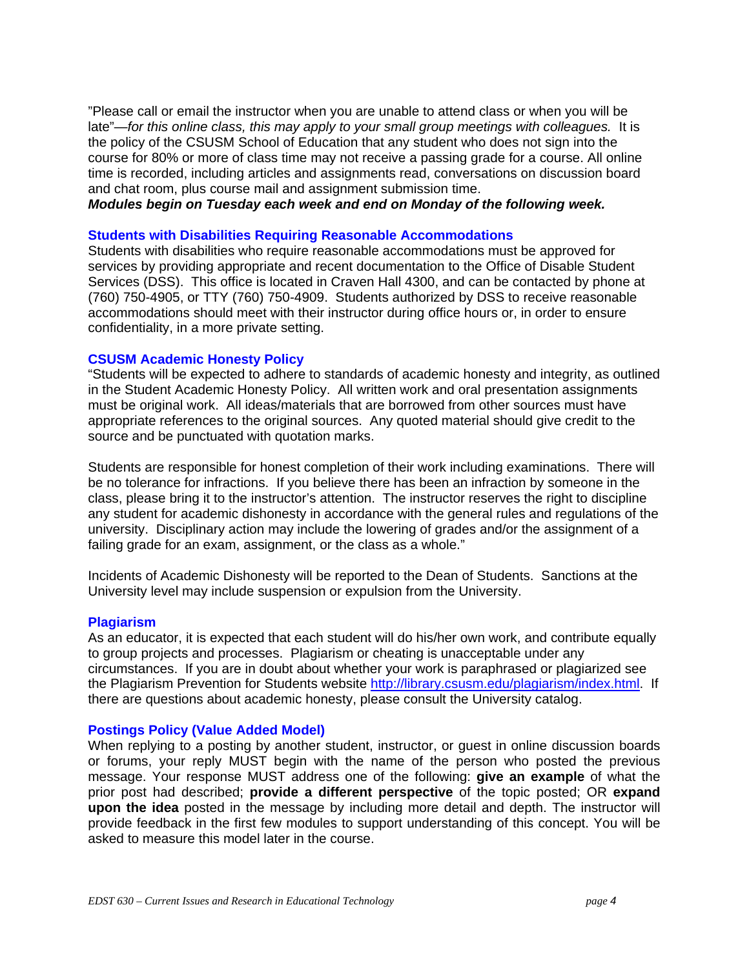"Please call or email the instructor when you are unable to attend class or when you will be late"—*for this online class, this may apply to your small group meetings with colleagues.* It is the policy of the CSUSM School of Education that any student who does not sign into the course for 80% or more of class time may not receive a passing grade for a course. All online time is recorded, including articles and assignments read, conversations on discussion board and chat room, plus course mail and assignment submission time.

*Modules begin on Tuesday each week and end on Monday of the following week.* 

# **Students with Disabilities Requiring Reasonable Accommodations**

Students with disabilities who require reasonable accommodations must be approved for services by providing appropriate and recent documentation to the Office of Disable Student Services (DSS). This office is located in Craven Hall 4300, and can be contacted by phone at (760) 750-4905, or TTY (760) 750-4909. Students authorized by DSS to receive reasonable accommodations should meet with their instructor during office hours or, in order to ensure confidentiality, in a more private setting.

# **CSUSM Academic Honesty Policy**

"Students will be expected to adhere to standards of academic honesty and integrity, as outlined in the Student Academic Honesty Policy. All written work and oral presentation assignments must be original work. All ideas/materials that are borrowed from other sources must have appropriate references to the original sources. Any quoted material should give credit to the source and be punctuated with quotation marks.

Students are responsible for honest completion of their work including examinations. There will be no tolerance for infractions. If you believe there has been an infraction by someone in the class, please bring it to the instructor's attention. The instructor reserves the right to discipline any student for academic dishonesty in accordance with the general rules and regulations of the university. Disciplinary action may include the lowering of grades and/or the assignment of a failing grade for an exam, assignment, or the class as a whole."

Incidents of Academic Dishonesty will be reported to the Dean of Students. Sanctions at the University level may include suspension or expulsion from the University.

# **Plagiarism**

As an educator, it is expected that each student will do his/her own work, and contribute equally to group projects and processes. Plagiarism or cheating is unacceptable under any circumstances. If you are in doubt about whether your work is paraphrased or plagiarized see the Plagiarism Prevention for Students website http://library.csusm.edu/plagiarism/index.html. If there are questions about academic honesty, please consult the University catalog.

# **Postings Policy (Value Added Model)**

When replying to a posting by another student, instructor, or guest in online discussion boards or forums, your reply MUST begin with the name of the person who posted the previous message. Your response MUST address one of the following: **give an example** of what the prior post had described; **provide a different perspective** of the topic posted; OR **expand upon the idea** posted in the message by including more detail and depth. The instructor will provide feedback in the first few modules to support understanding of this concept. You will be asked to measure this model later in the course.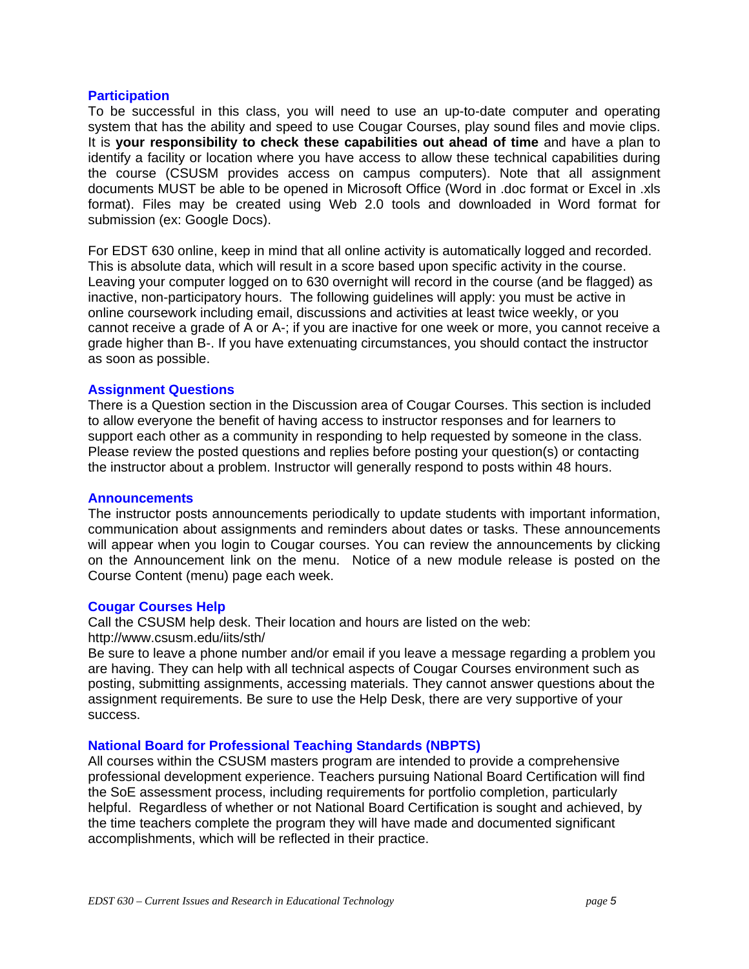#### **Participation**

To be successful in this class, you will need to use an up-to-date computer and operating system that has the ability and speed to use Cougar Courses, play sound files and movie clips. It is **your responsibility to check these capabilities out ahead of time** and have a plan to identify a facility or location where you have access to allow these technical capabilities during the course (CSUSM provides access on campus computers). Note that all assignment documents MUST be able to be opened in Microsoft Office (Word in .doc format or Excel in .xls format). Files may be created using Web 2.0 tools and downloaded in Word format for submission (ex: Google Docs).

 as soon as possible. For EDST 630 online, keep in mind that all online activity is automatically logged and recorded. This is absolute data, which will result in a score based upon specific activity in the course. Leaving your computer logged on to 630 overnight will record in the course (and be flagged) as inactive, non-participatory hours. The following guidelines will apply: you must be active in online coursework including email, discussions and activities at least twice weekly, or you cannot receive a grade of A or A-; if you are inactive for one week or more, you cannot receive a grade higher than B-. If you have extenuating circumstances, you should contact the instructor

# **Assignment Questions**

There is a Question section in the Discussion area of Cougar Courses. This section is included to allow everyone the benefit of having access to instructor responses and for learners to support each other as a community in responding to help requested by someone in the class. Please review the posted questions and replies before posting your question(s) or contacting the instructor about a problem. Instructor will generally respond to posts within 48 hours.

#### **Announcements**

The instructor posts announcements periodically to update students with important information, communication about assignments and reminders about dates or tasks. These announcements will appear when you login to Cougar courses. You can review the announcements by clicking on the Announcement link on the menu. Notice of a new module release is posted on the Course Content (menu) page each week.

## **Cougar Courses Help**

Call the CSUSM help desk. Their location and hours are listed on the web: http://www.csusm.edu/iits/sth/

Be sure to leave a phone number and/or email if you leave a message regarding a problem you are having. They can help with all technical aspects of Cougar Courses environment such as posting, submitting assignments, accessing materials. They cannot answer questions about the assignment requirements. Be sure to use the Help Desk, there are very supportive of your success.

# **National Board for Professional Teaching Standards (NBPTS)**

All courses within the CSUSM masters program are intended to provide a comprehensive professional development experience. Teachers pursuing National Board Certification will find the SoE assessment process, including requirements for portfolio completion, particularly helpful. Regardless of whether or not National Board Certification is sought and achieved, by the time teachers complete the program they will have made and documented significant accomplishments, which will be reflected in their practice.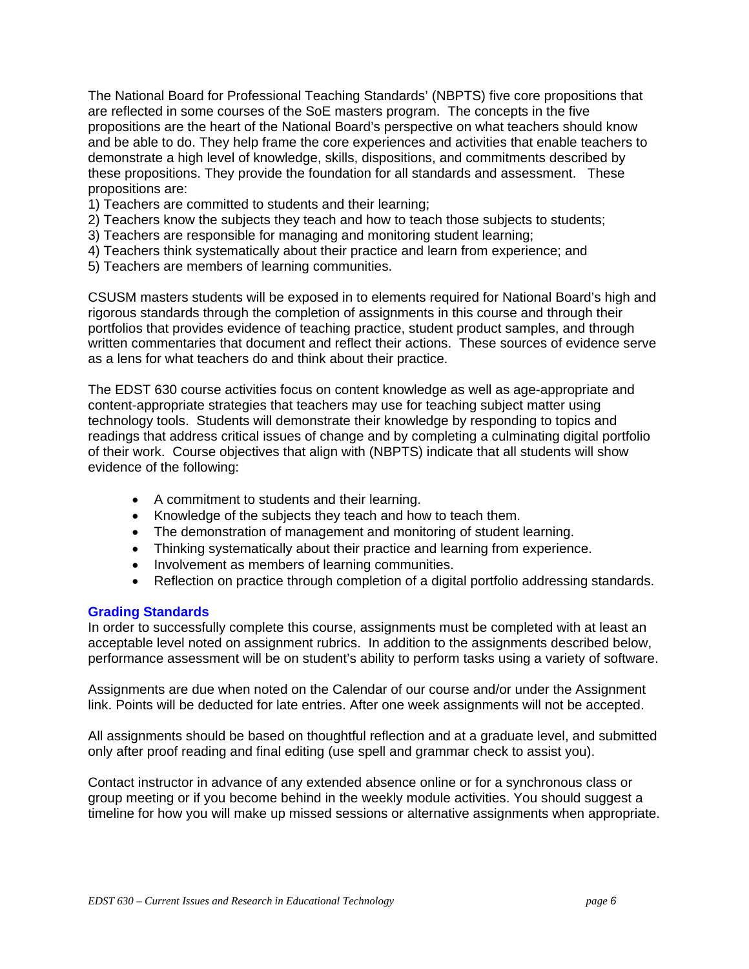<span id="page-5-0"></span>The National Board for Professional Teaching Standards' (NBPTS) five core propositions that are reflected in some courses of the SoE masters program. The concepts in the five propositions are the heart of the National Board's perspective on what teachers should know and be able to do. They help frame the core experiences and activities that enable teachers to demonstrate a high level of knowledge, skills, dispositions, and commitments described by these propositions. They provide the foundation for all standards and assessment. These propositions are:

- 1) Teachers are committed to students and their learning;
- 2) Teachers know the subjects they teach and how to teach those subjects to students;
- 3) Teachers are responsible for managing and monitoring student learning;
- 4) Teachers think systematically about their practice and learn from experience; and
- 5) Teachers are members of learning communities.

CSUSM masters students will be exposed in to elements required for National Board's high and rigorous standards through the completion of assignments in this course and through their portfolios that provides evidence of teaching practice, student product samples, and through written commentaries that document and reflect their actions. These sources of evidence serve as a lens for what teachers do and think about their practice.

The EDST 630 course activities focus on content knowledge as well as age-appropriate and content-appropriate strategies that teachers may use for teaching subject matter using technology tools. Students will demonstrate their knowledge by responding to topics and readings that address critical issues of change and by completing a culminating digital portfolio of their work. Course objectives that align with (NBPTS) indicate that all students will show evidence of the following:

- A commitment to students and their learning.
- Knowledge of the subjects they teach and how to teach them.
- The demonstration of management and monitoring of student learning.
- Thinking systematically about their practice and learning from experience.
- Involvement as members of learning communities.
- Reflection on practice through completion of a digital portfolio addressing standards.

# **Grading Standards**

In order to successfully complete this course, assignments must be completed with at least an acceptable level noted on assignment rubrics. In addition to the assignments described below, performance assessment will be on student's ability to perform tasks using a variety of software.

Assignments are due when noted on the Calendar of our course and/or under the Assignment link. Points will be deducted for late entries. After one week assignments will not be accepted.

All assignments should be based on thoughtful reflection and at a graduate level, and submitted only after proof reading and final editing (use spell and grammar check to assist you).

Contact instructor in advance of any extended absence online or for a synchronous class or group meeting or if you become behind in the weekly module activities. You should suggest a timeline for how you will make up missed sessions or alternative assignments when appropriate.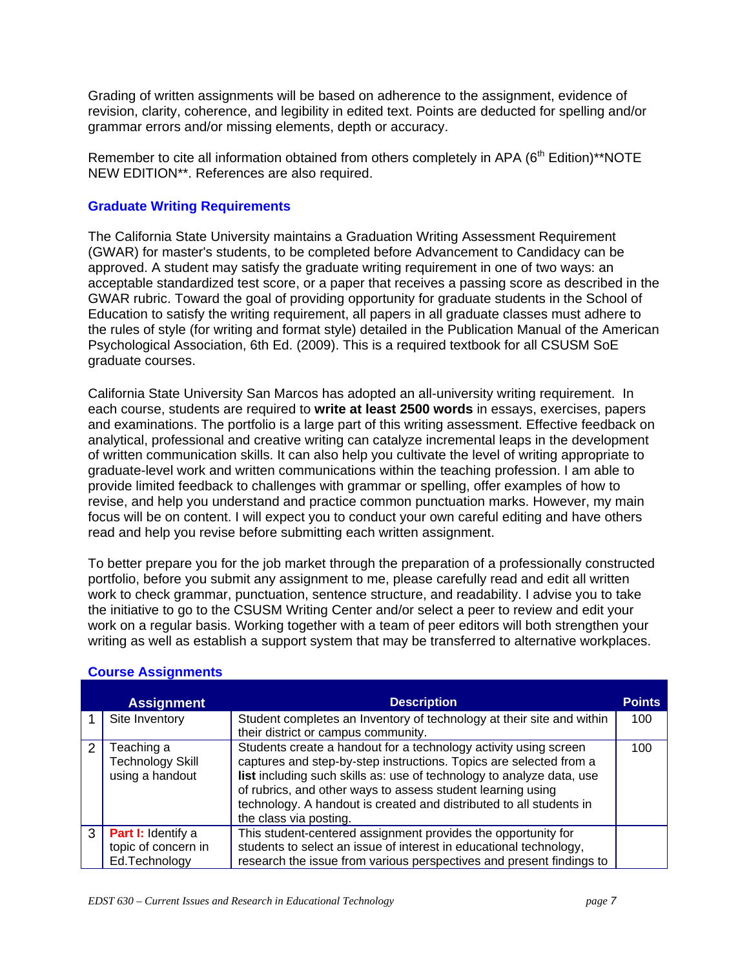Grading of written assignments will be based on adherence to the assignment, evidence of revision, clarity, coherence, and legibility in edited text. Points are deducted for spelling and/or grammar errors and/or missing elements, depth or accuracy.

Remember to cite all information obtained from others completely in APA (6<sup>th</sup> Edition)\*\*NOTE NEW EDITION\*\*. References are also required.

# **Graduate Writing Requirements**

The California State University maintains a Graduation Writing Assessment Requirement (GWAR) for master's students, to be completed before Advancement to Candidacy can be approved. A student may satisfy the graduate writing requirement in one of two ways: an acceptable standardized test score, or a paper that receives a passing score as described in the GWAR rubric. Toward the goal of providing opportunity for graduate students in the School of Education to satisfy the writing requirement, all papers in all graduate classes must adhere to the rules of style (for writing and format style) detailed in the Publication Manual of the American Psychological Association, 6th Ed. (2009). This is a required textbook for all CSUSM SoE graduate courses.

California State University San Marcos has adopted an all-university writing requirement. In each course, students are required to **write at least 2500 words** in essays, exercises, papers and examinations. The portfolio is a large part of this writing assessment. Effective feedback on analytical, professional and creative writing can catalyze incremental leaps in the development of written communication skills. It can also help you cultivate the level of writing appropriate to graduate-level work and written communications within the teaching profession. I am able to provide limited feedback to challenges with grammar or spelling, offer examples of how to revise, and help you understand and practice common punctuation marks. However, my main focus will be on content. I will expect you to conduct your own careful editing and have others read and help you revise before submitting each written assignment.

To better prepare you for the job market through the preparation of a professionally constructed portfolio, before you submit any assignment to me, please carefully read and edit all written work to check grammar, punctuation, sentence structure, and readability. I advise you to take the initiative to go to the CSUSM Writing Center and/or select a peer to review and edit your work on a regular basis. Working together with a team of peer editors will both strengthen your writing as well as establish a support system that may be transferred to alternative workplaces.

|               | <b>Assignment</b>                                                 | <b>Description</b>                                                                                                                                                                                                                                                                                                                                                              | <b>Points</b> |
|---------------|-------------------------------------------------------------------|---------------------------------------------------------------------------------------------------------------------------------------------------------------------------------------------------------------------------------------------------------------------------------------------------------------------------------------------------------------------------------|---------------|
|               | Site Inventory                                                    | Student completes an Inventory of technology at their site and within<br>their district or campus community.                                                                                                                                                                                                                                                                    | 100           |
| $\mathcal{P}$ | Teaching a<br><b>Technology Skill</b><br>using a handout          | Students create a handout for a technology activity using screen<br>captures and step-by-step instructions. Topics are selected from a<br>list including such skills as: use of technology to analyze data, use<br>of rubrics, and other ways to assess student learning using<br>technology. A handout is created and distributed to all students in<br>the class via posting. | 100           |
| 3             | <b>Part I:</b> Identify a<br>topic of concern in<br>Ed.Technology | This student-centered assignment provides the opportunity for<br>students to select an issue of interest in educational technology,<br>research the issue from various perspectives and present findings to                                                                                                                                                                     |               |

# **Course Assignments**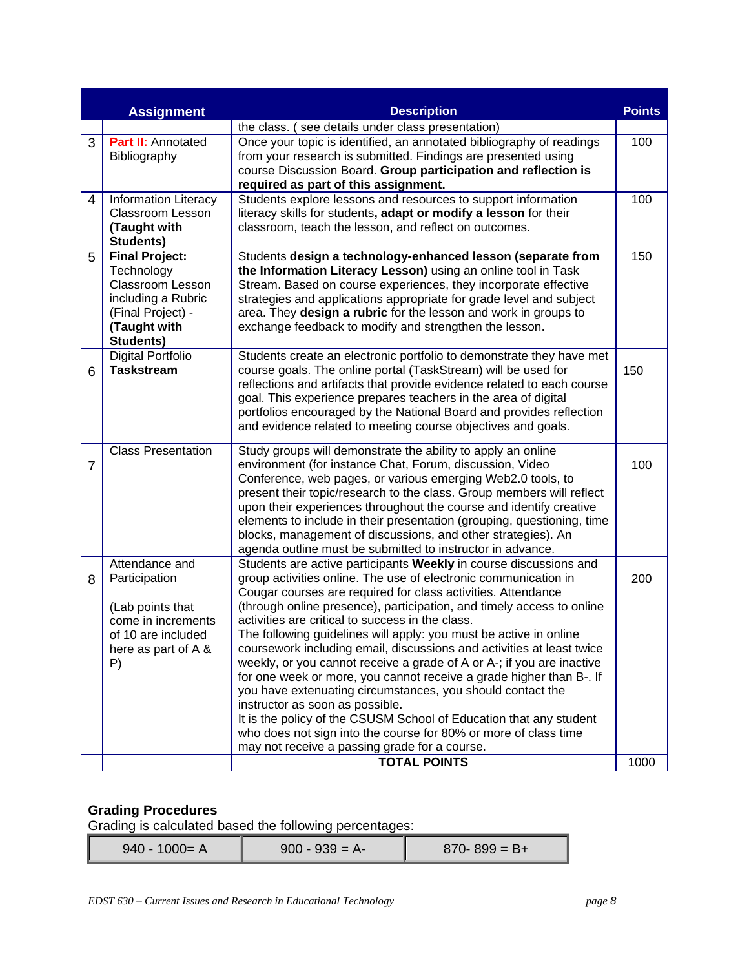|                | <b>Points</b><br><b>Assignment</b><br><b>Description</b>                                                                               |                                                                                                                                                                                                                                                                                                                                                                                                                                                                                                                                                                                                                                                                                                                                                                                                                                                                                                                            |      |  |
|----------------|----------------------------------------------------------------------------------------------------------------------------------------|----------------------------------------------------------------------------------------------------------------------------------------------------------------------------------------------------------------------------------------------------------------------------------------------------------------------------------------------------------------------------------------------------------------------------------------------------------------------------------------------------------------------------------------------------------------------------------------------------------------------------------------------------------------------------------------------------------------------------------------------------------------------------------------------------------------------------------------------------------------------------------------------------------------------------|------|--|
|                |                                                                                                                                        | the class. (see details under class presentation)                                                                                                                                                                                                                                                                                                                                                                                                                                                                                                                                                                                                                                                                                                                                                                                                                                                                          |      |  |
| 3              | <b>Part II: Annotated</b><br>Bibliography                                                                                              | Once your topic is identified, an annotated bibliography of readings<br>from your research is submitted. Findings are presented using<br>course Discussion Board. Group participation and reflection is<br>required as part of this assignment.                                                                                                                                                                                                                                                                                                                                                                                                                                                                                                                                                                                                                                                                            | 100  |  |
| 4              | <b>Information Literacy</b><br><b>Classroom Lesson</b><br>(Taught with<br>Students)                                                    | Students explore lessons and resources to support information<br>literacy skills for students, adapt or modify a lesson for their<br>classroom, teach the lesson, and reflect on outcomes.                                                                                                                                                                                                                                                                                                                                                                                                                                                                                                                                                                                                                                                                                                                                 | 100  |  |
| 5              | <b>Final Project:</b><br>Technology<br><b>Classroom Lesson</b><br>including a Rubric<br>(Final Project) -<br>(Taught with<br>Students) | Students design a technology-enhanced lesson (separate from<br>the Information Literacy Lesson) using an online tool in Task<br>Stream. Based on course experiences, they incorporate effective<br>strategies and applications appropriate for grade level and subject<br>area. They design a rubric for the lesson and work in groups to<br>exchange feedback to modify and strengthen the lesson.                                                                                                                                                                                                                                                                                                                                                                                                                                                                                                                        | 150  |  |
| 6              | <b>Digital Portfolio</b><br><b>Taskstream</b>                                                                                          | Students create an electronic portfolio to demonstrate they have met<br>course goals. The online portal (TaskStream) will be used for<br>reflections and artifacts that provide evidence related to each course<br>goal. This experience prepares teachers in the area of digital<br>portfolios encouraged by the National Board and provides reflection<br>and evidence related to meeting course objectives and goals.                                                                                                                                                                                                                                                                                                                                                                                                                                                                                                   | 150  |  |
| $\overline{7}$ | <b>Class Presentation</b>                                                                                                              | Study groups will demonstrate the ability to apply an online<br>environment (for instance Chat, Forum, discussion, Video<br>Conference, web pages, or various emerging Web2.0 tools, to<br>present their topic/research to the class. Group members will reflect<br>upon their experiences throughout the course and identify creative<br>elements to include in their presentation (grouping, questioning, time<br>blocks, management of discussions, and other strategies). An<br>agenda outline must be submitted to instructor in advance.                                                                                                                                                                                                                                                                                                                                                                             | 100  |  |
| 8              | Attendance and<br>Participation<br>(Lab points that<br>come in increments<br>of 10 are included<br>here as part of A &<br>P)           | Students are active participants Weekly in course discussions and<br>group activities online. The use of electronic communication in<br>Cougar courses are required for class activities. Attendance<br>(through online presence), participation, and timely access to online<br>activities are critical to success in the class.<br>The following guidelines will apply: you must be active in online<br>coursework including email, discussions and activities at least twice<br>weekly, or you cannot receive a grade of A or A-; if you are inactive<br>for one week or more, you cannot receive a grade higher than B-. If<br>you have extenuating circumstances, you should contact the<br>instructor as soon as possible.<br>It is the policy of the CSUSM School of Education that any student<br>who does not sign into the course for 80% or more of class time<br>may not receive a passing grade for a course. | 200  |  |
|                |                                                                                                                                        | <b>TOTAL POINTS</b>                                                                                                                                                                                                                                                                                                                                                                                                                                                                                                                                                                                                                                                                                                                                                                                                                                                                                                        | 1000 |  |

# **Grading Procedures**

Grading is calculated based the following percentages:

| $900 - 939 = A$<br>$940 - 1000 = A$<br>$870 - 899 = B +$ |
|----------------------------------------------------------|
|----------------------------------------------------------|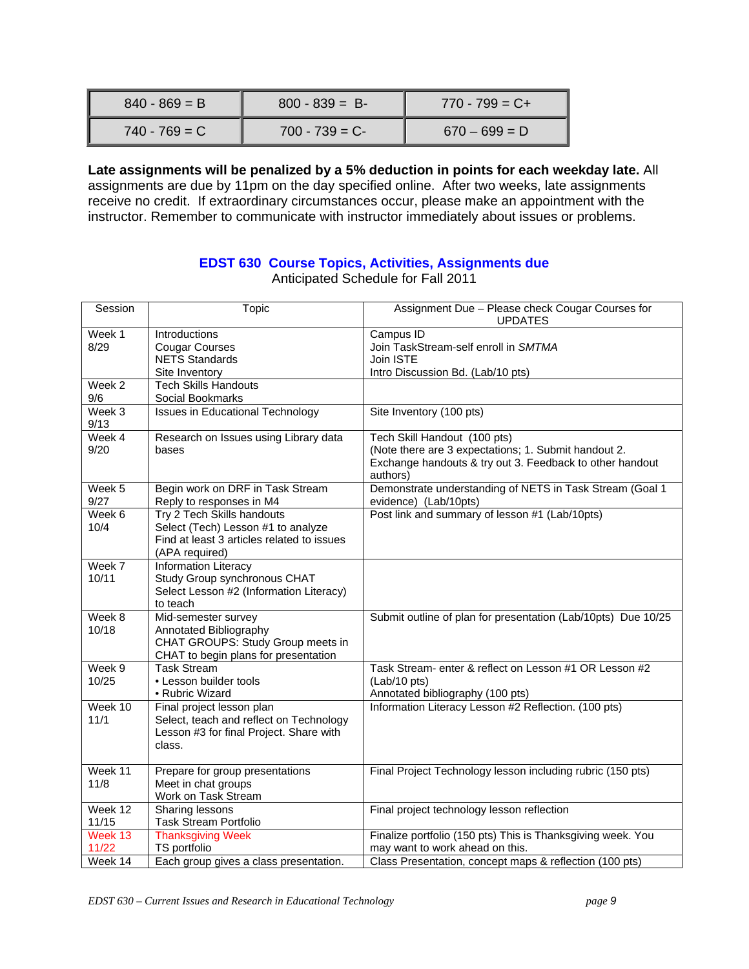| $840 - 869 = B$ | $800 - 839 = B$ | $770 - 799 = C +$ |
|-----------------|-----------------|-------------------|
| $740 - 769 = C$ | $700 - 739 = C$ | $670 - 699 = D$   |

**Late assignments will be penalized by a 5% deduction in points for each weekday late.** All assignments are due by 11pm on the day specified online. After two weeks, late assignments receive no credit. If extraordinary circumstances occur, please make an appointment with the instructor. Remember to communicate with instructor immediately about issues or problems.

# **EDST 630 Course Topics, Activities, Assignments due**

| Session          | Topic                                                                                                                            | Assignment Due - Please check Cougar Courses for<br><b>UPDATES</b>                                                                                           |
|------------------|----------------------------------------------------------------------------------------------------------------------------------|--------------------------------------------------------------------------------------------------------------------------------------------------------------|
| Week 1<br>8/29   | Introductions<br><b>Cougar Courses</b><br><b>NETS Standards</b>                                                                  | Campus ID<br>Join TaskStream-self enroll in SMTMA<br>Join ISTE                                                                                               |
|                  | Site Inventory                                                                                                                   | Intro Discussion Bd. (Lab/10 pts)                                                                                                                            |
| Week 2<br>9/6    | <b>Tech Skills Handouts</b><br>Social Bookmarks                                                                                  |                                                                                                                                                              |
| Week 3<br>9/13   | <b>Issues in Educational Technology</b>                                                                                          | Site Inventory (100 pts)                                                                                                                                     |
| Week 4<br>9/20   | Research on Issues using Library data<br>bases                                                                                   | Tech Skill Handout (100 pts)<br>(Note there are 3 expectations; 1. Submit handout 2.<br>Exchange handouts & try out 3. Feedback to other handout<br>authors) |
| Week $5$<br>9/27 | Begin work on DRF in Task Stream<br>Reply to responses in M4                                                                     | Demonstrate understanding of NETS in Task Stream (Goal 1<br>evidence) (Lab/10pts)                                                                            |
| Week 6<br>10/4   | Try 2 Tech Skills handouts<br>Select (Tech) Lesson #1 to analyze<br>Find at least 3 articles related to issues<br>(APA required) | Post link and summary of lesson #1 (Lab/10pts)                                                                                                               |
| Week 7<br>10/11  | <b>Information Literacy</b><br>Study Group synchronous CHAT<br>Select Lesson #2 (Information Literacy)<br>to teach               |                                                                                                                                                              |
| Week 8<br>10/18  | Mid-semester survey<br>Annotated Bibliography<br>CHAT GROUPS: Study Group meets in<br>CHAT to begin plans for presentation       | Submit outline of plan for presentation (Lab/10pts) Due 10/25                                                                                                |
| Week 9<br>10/25  | <b>Task Stream</b><br>• Lesson builder tools<br>• Rubric Wizard                                                                  | Task Stream- enter & reflect on Lesson #1 OR Lesson #2<br>(Lab/10 pts)<br>Annotated bibliography (100 pts)                                                   |
| Week 10<br>11/1  | Final project lesson plan<br>Select, teach and reflect on Technology<br>Lesson #3 for final Project. Share with<br>class.        | Information Literacy Lesson #2 Reflection. (100 pts)                                                                                                         |
| Week 11<br>11/8  | Prepare for group presentations<br>Meet in chat groups<br>Work on Task Stream                                                    | Final Project Technology lesson including rubric (150 pts)                                                                                                   |
| Week 12<br>11/15 | <b>Sharing lessons</b><br><b>Task Stream Portfolio</b>                                                                           | Final project technology lesson reflection                                                                                                                   |
| Week 13<br>11/22 | <b>Thanksgiving Week</b><br>TS portfolio                                                                                         | Finalize portfolio (150 pts) This is Thanksgiving week. You<br>may want to work ahead on this.                                                               |
| Week 14          | Each group gives a class presentation.                                                                                           | Class Presentation, concept maps & reflection (100 pts)                                                                                                      |

Anticipated Schedule for Fall 2011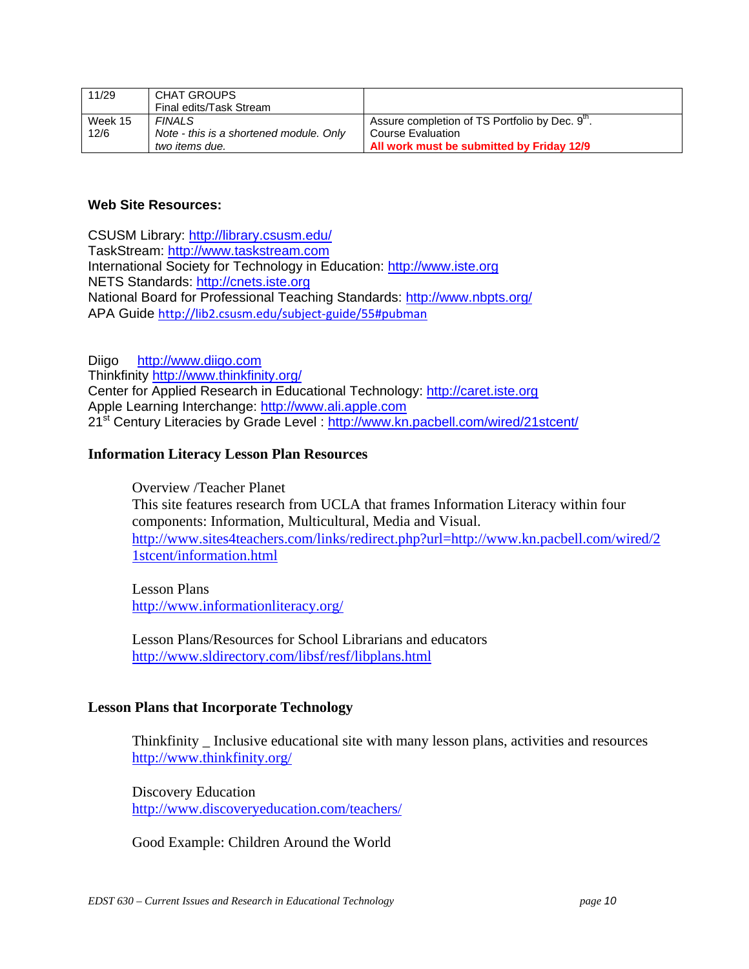| 11/29   | CHAT GROUPS                             |                                                             |
|---------|-----------------------------------------|-------------------------------------------------------------|
|         | Final edits/Task Stream                 |                                                             |
| Week 15 | <b>FINALS</b>                           | Assure completion of TS Portfolio by Dec. 9 <sup>th</sup> . |
| 12/6    | Note - this is a shortened module. Only | l Course Evaluation                                         |
|         | two items due.                          | All work must be submitted by Friday 12/9                   |

# **Web Site Resources:**

CSUSM Library: http://library.csusm.edu/ TaskStream: http://www.taskstream.com International Society for Technology in Education: http://www.iste.org NETS Standards: http://cnets.iste.org National Board for Professional Teaching Standards: http://www.nbpts.org/ APA Guide http://lib2.csusm.edu/subject‐guide/55#pubman

Diigo http://www.diigo.com Thinkfinity http://www.thinkfinity.org/ Center for Applied Research in Educational Technology: http://caret.iste.org Apple Learning Interchange: http://www.ali.apple.com 21<sup>st</sup> Century Literacies by Grade Level: http://www.kn.pacbell.com/wired/21stcent/

# **Information Literacy Lesson Plan Resources**

Overview /Teacher Planet This site features research from UCLA that frames Information Literacy within four components: Information, Multicultural, Media and Visual. http://www.sites4teachers.com/links/redirect.php?url=http://www.kn.pacbell.com/wired/2 1stcent/information.html

Lesson Plans http://www.informationliteracy.org/

Lesson Plans/Resources for School Librarians and educators http://www.sldirectory.com/libsf/resf/libplans.html

# **Lesson Plans that Incorporate Technology**

Thinkfinity \_ Inclusive educational site with many lesson plans, activities and resources http://www.thinkfinity.org/

Discovery Education http://www.discoveryeducation.com/teachers/

Good Example: Children Around the World